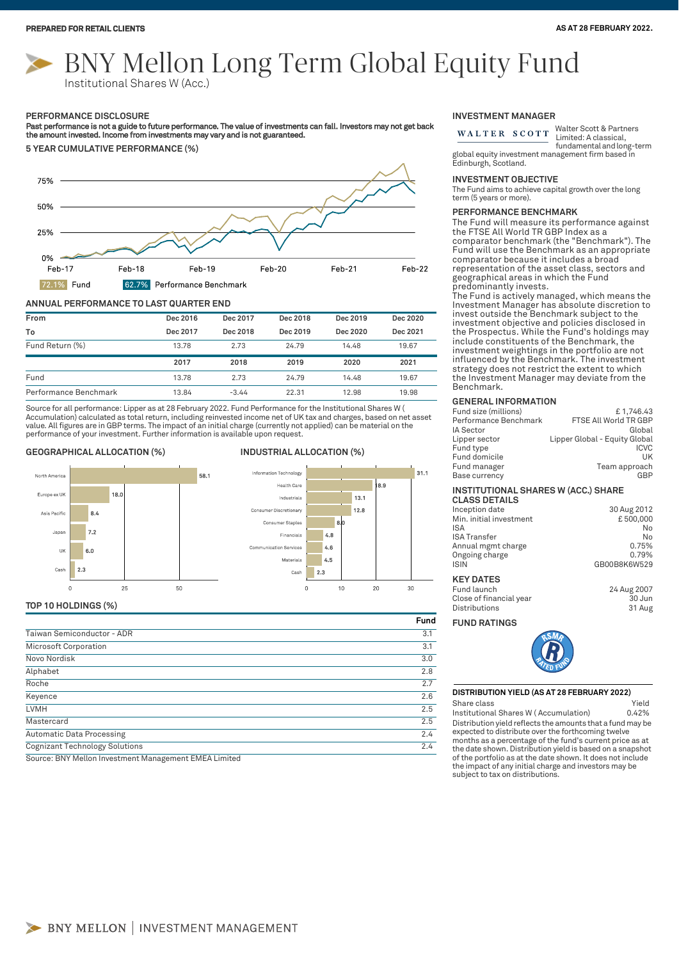# BNY Mellon Long Term Global Equity Fund Institutional Shares W (Acc.)

#### **PERFORMANCE DISCLOSURE**

Past performance is not a guide to future performance. The value of investments can fall. Investors may not get back<br>the amount invested. Income from investments may vary and is not guaranteed.



## **ANNUAL PERFORMANCE TO LAST QUARTER END**

| From            | Dec 2016 | Dec 2017 | Dec 2018 | Dec 2019 | Dec 2020 |
|-----------------|----------|----------|----------|----------|----------|
| To              | Dec 2017 | Dec 2018 | Dec 2019 | Dec 2020 | Dec 2021 |
| Fund Return (%) | 13.78    | 2.73     | 24.79    | 14.48    | 19.67    |
|                 | 2017     | 2018     | 2019     | 2020     | 2021     |
| Fund            | 13.78    | 2.73     | 24.79    | 14.48    | 19.67    |
|                 |          |          |          |          |          |

Source for all performance: Lipper as at 28 February 2022. Fund Performance for the Institutional Shares W (<br>Accumulation) calculated as total return, including reinvested income net of UK tax and charges, based on net ass value. All figures are in GBP terms. The impact of an initial charge (currently not applied) can be material on the performance of your investment. Further information is available upon request.

# **GEOGRAPHICAL ALLOCATION (%) INDUSTRIAL ALLOCATION (%)**





# **TOP 10 HOLDINGS (%)**

|                                       | Fund |
|---------------------------------------|------|
| Taiwan Semiconductor - ADR            | 3.1  |
| Microsoft Corporation                 | 3.1  |
| Novo Nordisk                          | 3.0  |
| Alphabet                              | 2.8  |
| Roche                                 | 2.7  |
| Keyence                               | 2.6  |
| <b>LVMH</b>                           | 2.5  |
| Mastercard                            | 2.5  |
| <b>Automatic Data Processing</b>      | 2.4  |
| <b>Cognizant Technology Solutions</b> | 2.4  |

Source: BNY Mellon Investment Management EMEA Limited

### **INVESTMENT MANAGER**

Walter Scott & Partners WALTER SCOTT Limited: A classical, fundamental and long-term

global equity investment management firm based in Edinburgh, Scotland.

# **INVESTMENT OBJECTIVE**

The Fund aims to achieve capital growth over the long term (5 years or more).

#### **PERFORMANCE BENCHMARK**

The Fund will measure its performance against the FTSE All World TR GBP Index as a comparator benchmark (the "Benchmark"). The Fund will use the Benchmark as an appropriate comparator because it includes a broad representation of the asset class, sectors and geographical areas in which the Fund predominantly invests.

The Fund is actively managed, which means the Investment Manager has absolute discretion to invest outside the Benchmark subject to the investment objective and policies disclosed in the Prospectus. While the Fund's holdings may include constituents of the Benchmark, the investment weightings in the portfolio are not influenced by the Benchmark. The investment strategy does not restrict the extent to which the Investment Manager may deviate from the Benchmark.

#### **GENERAL INFORMATION**

| Fund size (millions)  | £1.746.43                     |
|-----------------------|-------------------------------|
| Performance Benchmark | FTSE All World TR GBP         |
| IA Sector             | Global                        |
| Lipper sector         | Lipper Global - Equity Global |
| Fund type             | <b>ICVC</b>                   |
| Fund domicile         | UK                            |
| Fund manager          | Team approach                 |
| Base currency         | GBP                           |
|                       |                               |

#### **INSTITUTIONAL SHARES W (ACC.) SHARE CLASS DETAILS**

| <b>ULAJJ DETAILJ</b>    |              |
|-------------------------|--------------|
| Inception date          | 30 Aug 2012  |
| Min. initial investment | £500,000     |
| <b>ISA</b>              | No           |
| <b>ISA Transfer</b>     | No           |
| Annual mgmt charge      | 0.75%        |
| Ongoing charge          | 0.79%        |
| <b>ISIN</b>             | GB00B8K6W529 |
| <b>KEY DATES</b>        |              |
| Fund launch             | 24 Aug 2007  |
|                         |              |

Close of financial year 30 Jun

#### **FUND RATINGS**

Distributions



# **DISTRIBUTION YIELD (AS AT 28 FEBRUARY 2022)** Share class **Yield**

Distribution yield reflects the amounts that a fund may be expected to distribute over the forthcoming twelve months as a percentage of the fund's current price as at the date shown. Distribution yield is based on a snapshot of the portfolio as at the date shown. It does not include the impact of any initial charge and investors may be subject to tax on distributions. Institutional Shares W ( Accumulation) 0.42%